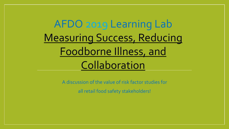# AFDO 2019 Learning Lab Measuring Success, Reducing Foodborne Illness, and Collaboration

A discussion of the value of risk factor studies for all retail food safety stakeholders!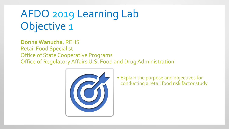**Donna Wanucha**, REHS Retail Food Specialist Office of State Cooperative Programs Office of Regulatory Affairs U.S. Food and Drug Administration



 Explain the purpose and objectives for conducting a retail food risk factor study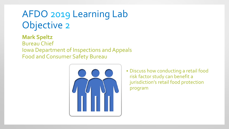**Mark Speltz** Bureau Chief Iowa Department of Inspections and Appeals Food and Consumer Safety Bureau



 Discuss how conducting a retail food risk factor study can benefit a jurisdiction's retail food protection program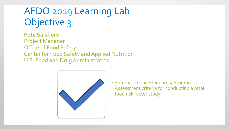#### **Pete Salsbury**

Project Manager Office of Food Safety Center for Food Safety and Applied Nutrition U.S. Food and Drug Administration



**Summarize the Standard 9 Program** Assessment criteria for conducting a retail food risk factor study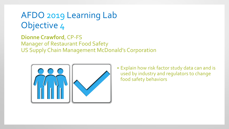**Dionne Crawford**, CP-FS Manager of Restaurant Food Safety US Supply Chain Management McDonald's Corporation



 Explain how risk factor study data can and is used by industry and regulators to change food safety behaviors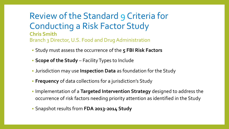Review of the Standard 9 Criteria for Conducting a Risk Factor Study **Chris Smith** Branch 3 Director, U.S. Food and Drug Administration

- Study must assess the occurrence of the **5 FBI Risk Factors**
- **Scope of the Study** Facility Types to Include
- Jurisdiction may use **Inspection Data** as foundation for the Study
- **Frequency** of data collections for a jurisdiction's Study
- **IMPLE 10 IMPLE 10 IMPLE 10 IMPLE 10 IMPLE 10 IMPLE 10 IMPLE 10 IMPLE 10 IMPLE 10 IMPLE 10 IMPLE 10 IMPLE 10 IMPLE 10 IMPLE 10 IMPLE 10 IMPLE 10 IMPLE 10 IMPLE 10 IMPLE 10 IMPLE 10 IMPLE 10 IMPLE 10 IMPLE 10 IMPLE 10 IMPLE** occurrence of risk factors needing priority attention as identified in the Study
- Snapshot results from **FDA 2013-2014 Study**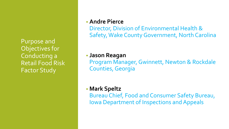Purpose and Objectives for Conducting a Retail Food Risk Factor Study

#### • **Andre Pierce**

Director, Division of Environmental Health & Safety, Wake County Government, North Carolina

#### • **Jason Reagan**

Program Manager, Gwinnett, Newton & Rockdale Counties, Georgia

#### • **Mark Speltz**

Bureau Chief, Food and Consumer Safety Bureau, Iowa Department of Inspections and Appeals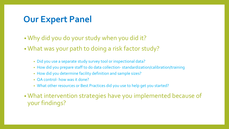### **Our Expert Panel**

- Why did you do your study when you did it?
- What was your path to doing a risk factor study?
	- Did you use a separate study survey tool or inspectional data?
	- How did you prepare staff to do data collection- standardization/calibration/training
	- How did you determine facility definition and sample sizes?
	- OA control- how was it done?
	- What other resources or Best Practices did you use to help get you started?
- What intervention strategies have you implemented because of your findings?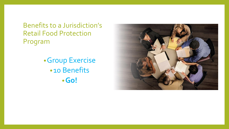Benefits to a Jurisdiction's Retail Food Protection Program

> •Group Exercise •10 Benefits •**Go!**

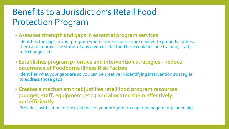### Benefits to a Jurisdiction's Retail Food Protection Program

- **Assesses strength and gaps in essential program services**
	- Identifies the gaps in your program where more resources are needed to properly address them and improve the status of any given risk factor. These could include training, staff, rule changes, etc.
- **Establishes program priorities and intervention strategies – reduce occurrence of Foodborne Illness Risk Factors**
	- Identifies what your gaps are so you can be creative in identifying intervention strategies to address those gaps.
- **Creates a mechanism that justifies retail food program resources (budget, staff, equipment, etc.) and allocated them effectively and efficiently** Provides justification of the existence of your program to upper management/leadership.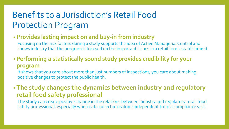## Benefits to a Jurisdiction's Retail Food Protection Program

#### • **Provides lasting impact on and buy-in from industry**

Focusing on the risk factors during a study supports the idea of Active Managerial Control and shows industry that the program is focused on the important issues in a retail food establishment.

#### • **Performing a statistically sound study provides credibility for your program**

It shows that you care about more than just numbers of inspections; you care about making positive changes to protect the public health.

#### • **The study changes the dynamics between industry and regulatory retail food safety professional**

The study can create positive change in the relations between industry and regulatory retail food safety professional, especially when data collection is done independent from a compliance visit.